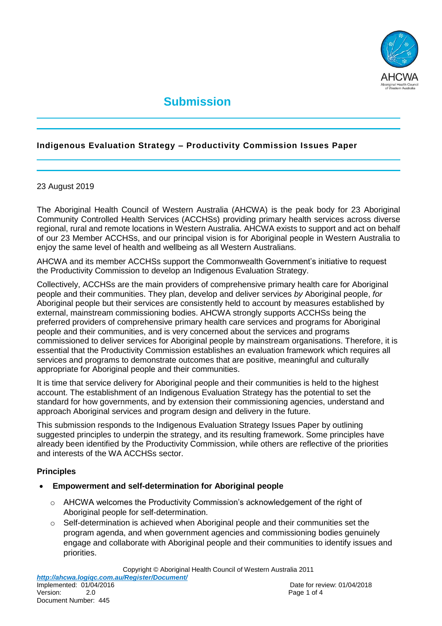

# **Submission**

## **Indigenous Evaluation Strategy – Productivity Commission Issues Paper**

#### 23 August 2019

The Aboriginal Health Council of Western Australia (AHCWA) is the peak body for 23 Aboriginal Community Controlled Health Services (ACCHSs) providing primary health services across diverse regional, rural and remote locations in Western Australia. AHCWA exists to support and act on behalf of our 23 Member ACCHSs, and our principal vision is for Aboriginal people in Western Australia to enjoy the same level of health and wellbeing as all Western Australians.

AHCWA and its member ACCHSs support the Commonwealth Government's initiative to request the Productivity Commission to develop an Indigenous Evaluation Strategy.

Collectively, ACCHSs are the main providers of comprehensive primary health care for Aboriginal people and their communities. They plan, develop and deliver services *by* Aboriginal people, *for* Aboriginal people but their services are consistently held to account by measures established by external, mainstream commissioning bodies. AHCWA strongly supports ACCHSs being the preferred providers of comprehensive primary health care services and programs for Aboriginal people and their communities, and is very concerned about the services and programs commissioned to deliver services for Aboriginal people by mainstream organisations. Therefore, it is essential that the Productivity Commission establishes an evaluation framework which requires all services and programs to demonstrate outcomes that are positive, meaningful and culturally appropriate for Aboriginal people and their communities.

It is time that service delivery for Aboriginal people and their communities is held to the highest account. The establishment of an Indigenous Evaluation Strategy has the potential to set the standard for how governments, and by extension their commissioning agencies, understand and approach Aboriginal services and program design and delivery in the future.

This submission responds to the Indigenous Evaluation Strategy Issues Paper by outlining suggested principles to underpin the strategy, and its resulting framework. Some principles have already been identified by the Productivity Commission, while others are reflective of the priorities and interests of the WA ACCHSs sector.

#### **Principles**

#### **Empowerment and self-determination for Aboriginal people**

- $\circ$  AHCWA welcomes the Productivity Commission's acknowledgement of the right of Aboriginal people for self-determination.
- o Self-determination is achieved when Aboriginal people and their communities set the program agenda, and when government agencies and commissioning bodies genuinely engage and collaborate with Aboriginal people and their communities to identify issues and priorities.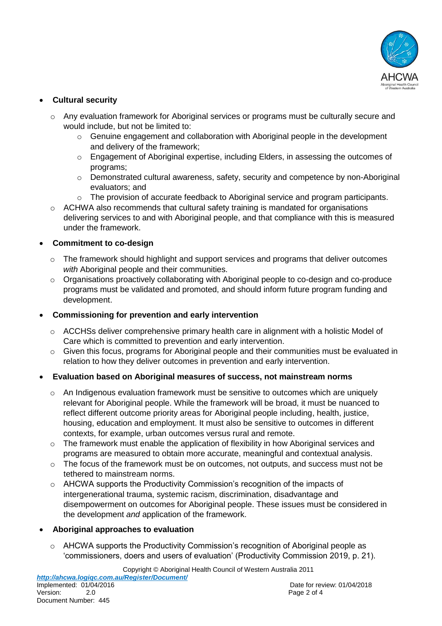

# **Cultural security**

- o Any evaluation framework for Aboriginal services or programs must be culturally secure and would include, but not be limited to:
	- $\circ$  Genuine engagement and collaboration with Aboriginal people in the development and delivery of the framework;
	- o Engagement of Aboriginal expertise, including Elders, in assessing the outcomes of programs;
	- $\circ$  Demonstrated cultural awareness, safety, security and competence by non-Aboriginal evaluators; and
	- o The provision of accurate feedback to Aboriginal service and program participants.
- o ACHWA also recommends that cultural safety training is mandated for organisations delivering services to and with Aboriginal people, and that compliance with this is measured under the framework.

### **Commitment to co-design**

- $\circ$  The framework should highlight and support services and programs that deliver outcomes *with* Aboriginal people and their communities.
- o Organisations proactively collaborating with Aboriginal people to co-design and co-produce programs must be validated and promoted, and should inform future program funding and development.

## **Commissioning for prevention and early intervention**

- $\circ$  ACCHSs deliver comprehensive primary health care in alignment with a holistic Model of Care which is committed to prevention and early intervention.
- o Given this focus, programs for Aboriginal people and their communities must be evaluated in relation to how they deliver outcomes in prevention and early intervention.

# **Evaluation based on Aboriginal measures of success, not mainstream norms**

- o An Indigenous evaluation framework must be sensitive to outcomes which are uniquely relevant for Aboriginal people. While the framework will be broad, it must be nuanced to reflect different outcome priority areas for Aboriginal people including, health, justice, housing, education and employment. It must also be sensitive to outcomes in different contexts, for example, urban outcomes versus rural and remote.
- $\circ$  The framework must enable the application of flexibility in how Aboriginal services and programs are measured to obtain more accurate, meaningful and contextual analysis.
- o The focus of the framework must be on outcomes, not outputs, and success must not be tethered to mainstream norms.
- o AHCWA supports the Productivity Commission's recognition of the impacts of intergenerational trauma, systemic racism, discrimination, disadvantage and disempowerment on outcomes for Aboriginal people. These issues must be considered in the development *and* application of the framework.

# **Aboriginal approaches to evaluation**

o AHCWA supports the Productivity Commission's recognition of Aboriginal people as 'commissioners, doers and users of evaluation' (Productivity Commission 2019, p. 21).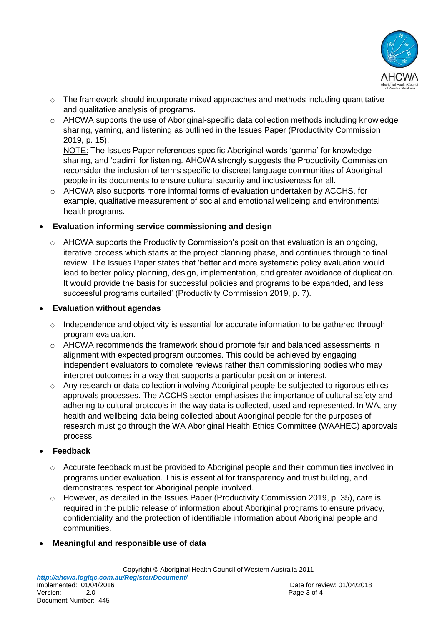

- $\circ$  The framework should incorporate mixed approaches and methods including quantitative and qualitative analysis of programs.
- o AHCWA supports the use of Aboriginal-specific data collection methods including knowledge sharing, yarning, and listening as outlined in the Issues Paper (Productivity Commission 2019, p. 15).

NOTE: The Issues Paper references specific Aboriginal words 'ganma' for knowledge sharing, and 'dadirri' for listening. AHCWA strongly suggests the Productivity Commission reconsider the inclusion of terms specific to discreet language communities of Aboriginal people in its documents to ensure cultural security and inclusiveness for all.

o AHCWA also supports more informal forms of evaluation undertaken by ACCHS, for example, qualitative measurement of social and emotional wellbeing and environmental health programs.

### **Evaluation informing service commissioning and design**

 $\circ$  AHCWA supports the Productivity Commission's position that evaluation is an ongoing, iterative process which starts at the project planning phase, and continues through to final review. The Issues Paper states that 'better and more systematic policy evaluation would lead to better policy planning, design, implementation, and greater avoidance of duplication. It would provide the basis for successful policies and programs to be expanded, and less successful programs curtailed' (Productivity Commission 2019, p. 7).

### **Evaluation without agendas**

- o Independence and objectivity is essential for accurate information to be gathered through program evaluation.
- o AHCWA recommends the framework should promote fair and balanced assessments in alignment with expected program outcomes. This could be achieved by engaging independent evaluators to complete reviews rather than commissioning bodies who may interpret outcomes in a way that supports a particular position or interest.
- $\circ$  Any research or data collection involving Aboriginal people be subjected to rigorous ethics approvals processes. The ACCHS sector emphasises the importance of cultural safety and adhering to cultural protocols in the way data is collected, used and represented. In WA, any health and wellbeing data being collected about Aboriginal people for the purposes of research must go through the WA Aboriginal Health Ethics Committee (WAAHEC) approvals process.

# **Feedback**

- $\circ$  Accurate feedback must be provided to Aboriginal people and their communities involved in programs under evaluation. This is essential for transparency and trust building, and demonstrates respect for Aboriginal people involved.
- o However, as detailed in the Issues Paper (Productivity Commission 2019, p. 35), care is required in the public release of information about Aboriginal programs to ensure privacy, confidentiality and the protection of identifiable information about Aboriginal people and communities.
- **Meaningful and responsible use of data**